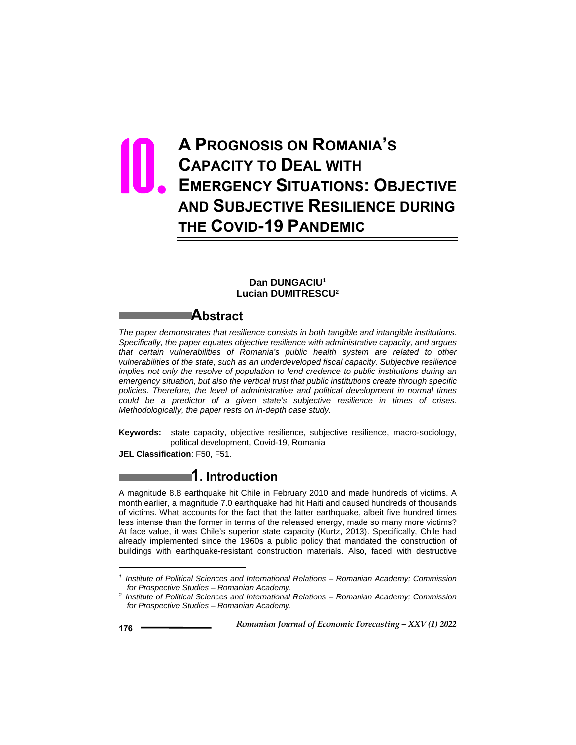# **A PROGNOSIS ON ROMANIA'S CAPACITY TO DEAL WITH EMERGENCY SITUATIONS: OBJECTIVE AND SUBJECTIVE RESILIENCE DURING THE COVID-19 PANDEMIC** 10.

#### **Dan DUNGACIU1 Lucian DUMITRESCU2**

### **Abstract**

*The paper demonstrates that resilience consists in both tangible and intangible institutions. Specifically, the paper equates objective resilience with administrative capacity, and argues that certain vulnerabilities of Romania's public health system are related to other vulnerabilities of the state, such as an underdeveloped fiscal capacity. Subjective resilience implies not only the resolve of population to lend credence to public institutions during an emergency situation, but also the vertical trust that public institutions create through specific policies. Therefore, the level of administrative and political development in normal times could be a predictor of a given state's subjective resilience in times of crises. Methodologically, the paper rests on in-depth case study.* 

**Keywords:** state capacity, objective resilience, subjective resilience, macro-sociology, political development, Covid-19, Romania

**JEL Classification**: F50, F51.

## **1. Introduction**

A magnitude 8.8 earthquake hit Chile in February 2010 and made hundreds of victims. A month earlier, a magnitude 7.0 earthquake had hit Haiti and caused hundreds of thousands of victims. What accounts for the fact that the latter earthquake, albeit five hundred times less intense than the former in terms of the released energy, made so many more victims? At face value, it was Chile's superior state capacity (Kurtz, 2013). Specifically, Chile had already implemented since the 1960s a public policy that mandated the construction of buildings with earthquake-resistant construction materials. Also, faced with destructive

 $\overline{a}$ 

*<sup>1</sup> Institute of Political Sciences and International Relations – Romanian Academy; Commission for Prospective Studies – Romanian Academy. 2 Institute of Political Sciences and International Relations – Romanian Academy; Commission* 

*for Prospective Studies – Romanian Academy.*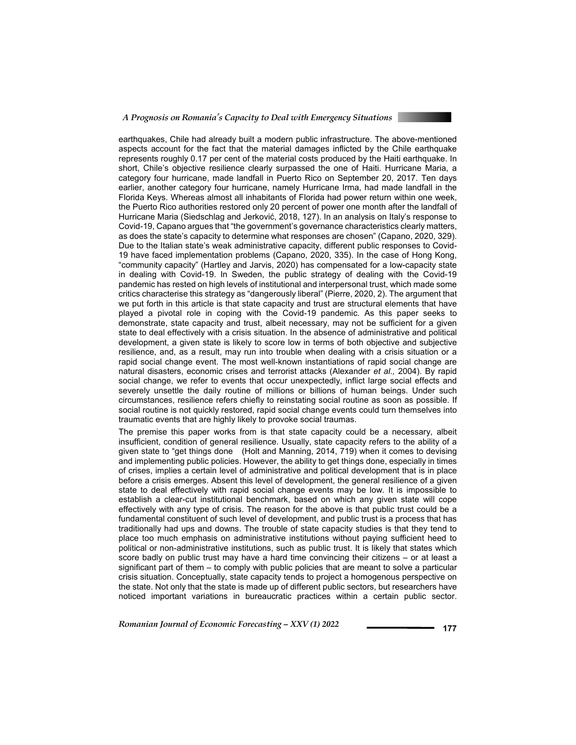

earthquakes, Chile had already built a modern public infrastructure. The above-mentioned aspects account for the fact that the material damages inflicted by the Chile earthquake represents roughly 0.17 per cent of the material costs produced by the Haiti earthquake. In short, Chile's objective resilience clearly surpassed the one of Haiti. Hurricane Maria, a category four hurricane, made landfall in Puerto Rico on September 20, 2017. Ten days earlier, another category four hurricane, namely Hurricane Irma, had made landfall in the Florida Keys. Whereas almost all inhabitants of Florida had power return within one week, the Puerto Rico authorities restored only 20 percent of power one month after the landfall of Hurricane Maria (Siedschlag and Jerković, 2018, 127). In an analysis on Italy's response to Covid-19, Capano argues that "the government's governance characteristics clearly matters, as does the state's capacity to determine what responses are chosen" (Capano, 2020, 329). Due to the Italian state's weak administrative capacity, different public responses to Covid-19 have faced implementation problems (Capano, 2020, 335). In the case of Hong Kong, "community capacity" (Hartley and Jarvis, 2020) has compensated for a low-capacity state in dealing with Covid-19. In Sweden, the public strategy of dealing with the Covid-19 pandemic has rested on high levels of institutional and interpersonal trust, which made some critics characterise this strategy as "dangerously liberal" (Pierre, 2020, 2). The argument that we put forth in this article is that state capacity and trust are structural elements that have played a pivotal role in coping with the Covid-19 pandemic. As this paper seeks to demonstrate, state capacity and trust, albeit necessary, may not be sufficient for a given state to deal effectively with a crisis situation. In the absence of administrative and political development, a given state is likely to score low in terms of both objective and subjective resilience, and, as a result, may run into trouble when dealing with a crisis situation or a rapid social change event. The most well-known instantiations of rapid social change are natural disasters, economic crises and terrorist attacks (Alexander *et al.,* 2004). By rapid social change, we refer to events that occur unexpectedly, inflict large social effects and severely unsettle the daily routine of millions or billions of human beings. Under such circumstances, resilience refers chiefly to reinstating social routine as soon as possible. If social routine is not quickly restored, rapid social change events could turn themselves into traumatic events that are highly likely to provoke social traumas.

The premise this paper works from is that state capacity could be a necessary, albeit insufficient, condition of general resilience. Usually, state capacity refers to the ability of a given state to "get things done (Holt and Manning, 2014, 719) when it comes to devising and implementing public policies. However, the ability to get things done, especially in times of crises, implies a certain level of administrative and political development that is in place before a crisis emerges. Absent this level of development, the general resilience of a given state to deal effectively with rapid social change events may be low. It is impossible to establish a clear-cut institutional benchmark, based on which any given state will cope effectively with any type of crisis. The reason for the above is that public trust could be a fundamental constituent of such level of development, and public trust is a process that has traditionally had ups and downs. The trouble of state capacity studies is that they tend to place too much emphasis on administrative institutions without paying sufficient heed to political or non-administrative institutions, such as public trust. It is likely that states which score badly on public trust may have a hard time convincing their citizens – or at least a significant part of them – to comply with public policies that are meant to solve a particular crisis situation. Conceptually, state capacity tends to project a homogenous perspective on the state. Not only that the state is made up of different public sectors, but researchers have noticed important variations in bureaucratic practices within a certain public sector.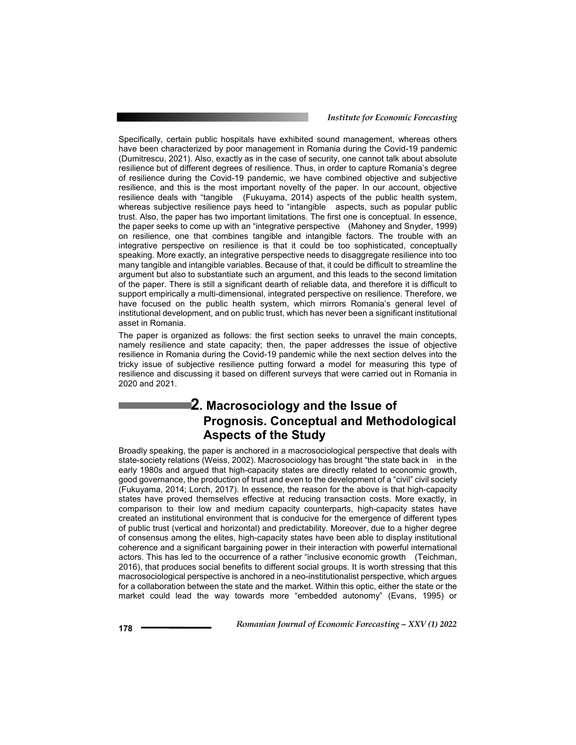Specifically, certain public hospitals have exhibited sound management, whereas others have been characterized by poor management in Romania during the Covid-19 pandemic (Dumitrescu, 2021). Also, exactly as in the case of security, one cannot talk about absolute resilience but of different degrees of resilience. Thus, in order to capture Romania's degree of resilience during the Covid-19 pandemic, we have combined objective and subjective resilience, and this is the most important novelty of the paper. In our account, objective resilience deals with "tangible (Fukuyama, 2014) aspects of the public health system, whereas subjective resilience pays heed to "intangible aspects, such as popular public trust. Also, the paper has two important limitations. The first one is conceptual. In essence, the paper seeks to come up with an "integrative perspective (Mahoney and Snyder, 1999) on resilience, one that combines tangible and intangible factors. The trouble with an integrative perspective on resilience is that it could be too sophisticated, conceptually speaking. More exactly, an integrative perspective needs to disaggregate resilience into too many tangible and intangible variables. Because of that, it could be difficult to streamline the argument but also to substantiate such an argument, and this leads to the second limitation of the paper. There is still a significant dearth of reliable data, and therefore it is difficult to support empirically a multi-dimensional, integrated perspective on resilience. Therefore, we have focused on the public health system, which mirrors Romania's general level of institutional development, and on public trust, which has never been a significant institutional asset in Romania.

The paper is organized as follows: the first section seeks to unravel the main concepts, namely resilience and state capacity; then, the paper addresses the issue of objective resilience in Romania during the Covid-19 pandemic while the next section delves into the tricky issue of subjective resilience putting forward a model for measuring this type of resilience and discussing it based on different surveys that were carried out in Romania in 2020 and 2021.

# **2. Macrosociology and the Issue of Prognosis. Conceptual and Methodological Aspects of the Study**

Broadly speaking, the paper is anchored in a macrosociological perspective that deals with state-society relations (Weiss, 2002). Macrosociology has brought "the state back in in the early 1980s and argued that high-capacity states are directly related to economic growth, good governance, the production of trust and even to the development of a "civil" civil society (Fukuyama, 2014; Lorch, 2017). In essence, the reason for the above is that high-capacity states have proved themselves effective at reducing transaction costs. More exactly, in comparison to their low and medium capacity counterparts, high-capacity states have created an institutional environment that is conducive for the emergence of different types of public trust (vertical and horizontal) and predictability. Moreover, due to a higher degree of consensus among the elites, high-capacity states have been able to display institutional coherence and a significant bargaining power in their interaction with powerful international actors. This has led to the occurrence of a rather "inclusive economic growth (Teichman, 2016), that produces social benefits to different social groups. It is worth stressing that this macrosociological perspective is anchored in a neo-institutionalist perspective, which argues for a collaboration between the state and the market. Within this optic, either the state or the market could lead the way towards more "embedded autonomy" (Evans, 1995) or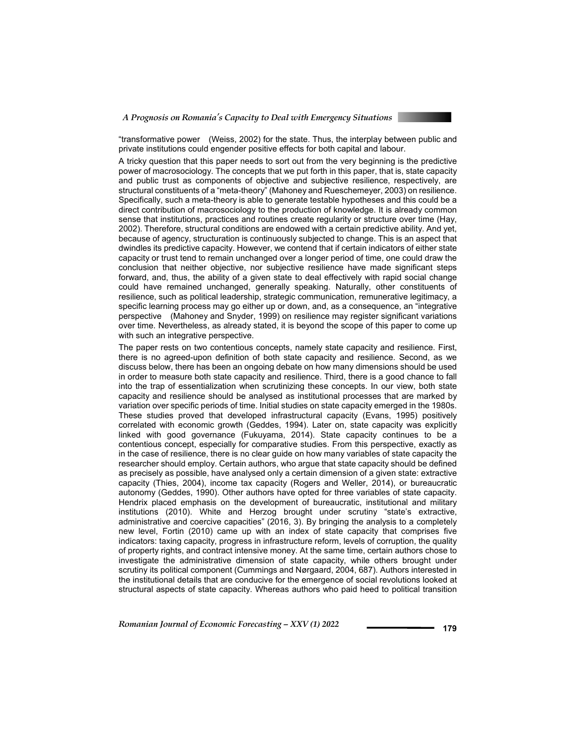

"transformative power (Weiss, 2002) for the state. Thus, the interplay between public and private institutions could engender positive effects for both capital and labour.

A tricky question that this paper needs to sort out from the very beginning is the predictive power of macrosociology. The concepts that we put forth in this paper, that is, state capacity and public trust as components of objective and subjective resilience, respectively, are structural constituents of a "meta-theory" (Mahoney and Rueschemeyer, 2003) on resilience. Specifically, such a meta-theory is able to generate testable hypotheses and this could be a direct contribution of macrosociology to the production of knowledge. It is already common sense that institutions, practices and routines create regularity or structure over time (Hay, 2002). Therefore, structural conditions are endowed with a certain predictive ability. And yet, because of agency, structuration is continuously subjected to change. This is an aspect that dwindles its predictive capacity. However, we contend that if certain indicators of either state capacity or trust tend to remain unchanged over a longer period of time, one could draw the conclusion that neither objective, nor subjective resilience have made significant steps forward, and, thus, the ability of a given state to deal effectively with rapid social change could have remained unchanged, generally speaking. Naturally, other constituents of resilience, such as political leadership, strategic communication, remunerative legitimacy, a specific learning process may go either up or down, and, as a consequence, an "integrative perspective (Mahoney and Snyder, 1999) on resilience may register significant variations over time. Nevertheless, as already stated, it is beyond the scope of this paper to come up with such an integrative perspective.

The paper rests on two contentious concepts, namely state capacity and resilience. First, there is no agreed-upon definition of both state capacity and resilience. Second, as we discuss below, there has been an ongoing debate on how many dimensions should be used in order to measure both state capacity and resilience. Third, there is a good chance to fall into the trap of essentialization when scrutinizing these concepts. In our view, both state capacity and resilience should be analysed as institutional processes that are marked by variation over specific periods of time. Initial studies on state capacity emerged in the 1980s. These studies proved that developed infrastructural capacity (Evans, 1995) positively correlated with economic growth (Geddes, 1994). Later on, state capacity was explicitly linked with good governance (Fukuyama, 2014). State capacity continues to be a contentious concept, especially for comparative studies. From this perspective, exactly as in the case of resilience, there is no clear guide on how many variables of state capacity the researcher should employ. Certain authors, who argue that state capacity should be defined as precisely as possible, have analysed only a certain dimension of a given state: extractive capacity (Thies, 2004), income tax capacity (Rogers and Weller, 2014), or bureaucratic autonomy (Geddes, 1990). Other authors have opted for three variables of state capacity. Hendrix placed emphasis on the development of bureaucratic, institutional and military institutions (2010). White and Herzog brought under scrutiny "state's extractive, administrative and coercive capacities" (2016, 3). By bringing the analysis to a completely new level, Fortin (2010) came up with an index of state capacity that comprises five indicators: taxing capacity, progress in infrastructure reform, levels of corruption, the quality of property rights, and contract intensive money. At the same time, certain authors chose to investigate the administrative dimension of state capacity, while others brought under scrutiny its political component (Cummings and Nørgaard, 2004, 687). Authors interested in the institutional details that are conducive for the emergence of social revolutions looked at structural aspects of state capacity. Whereas authors who paid heed to political transition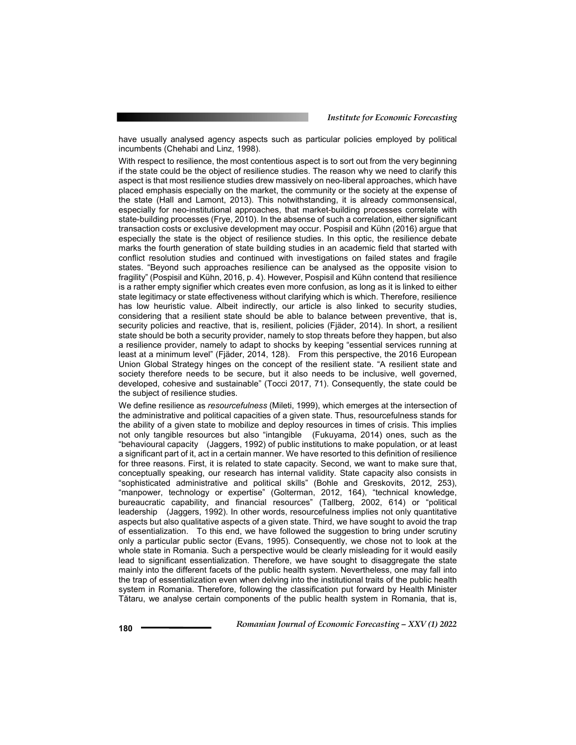have usually analysed agency aspects such as particular policies employed by political incumbents (Chehabi and Linz, 1998).

With respect to resilience, the most contentious aspect is to sort out from the very beginning if the state could be the object of resilience studies. The reason why we need to clarify this aspect is that most resilience studies drew massively on neo-liberal approaches, which have placed emphasis especially on the market, the community or the society at the expense of the state (Hall and Lamont, 2013). This notwithstanding, it is already commonsensical, especially for neo-institutional approaches, that market-building processes correlate with state-building processes (Frye, 2010). In the absense of such a correlation, either significant transaction costs or exclusive development may occur. Pospisil and Kühn (2016) argue that especially the state is the object of resilience studies. In this optic, the resilience debate marks the fourth generation of state building studies in an academic field that started with conflict resolution studies and continued with investigations on failed states and fragile states. "Beyond such approaches resilience can be analysed as the opposite vision to fragility" (Pospisil and Kühn, 2016, p. 4). However, Pospisil and Kühn contend that resilience is a rather empty signifier which creates even more confusion, as long as it is linked to either state legitimacy or state effectiveness without clarifying which is which. Therefore, resilience has low heuristic value. Albeit indirectly, our article is also linked to security studies, considering that a resilient state should be able to balance between preventive, that is, security policies and reactive, that is, resilient, policies (Fjäder, 2014). In short, a resilient state should be both a security provider, namely to stop threats before they happen, but also a resilience provider, namely to adapt to shocks by keeping "essential services running at least at a minimum level" (Fjäder, 2014, 128). From this perspective, the 2016 European Union Global Strategy hinges on the concept of the resilient state. "A resilient state and society therefore needs to be secure, but it also needs to be inclusive, well governed, developed, cohesive and sustainable" (Tocci 2017, 71). Consequently, the state could be the subject of resilience studies.

We define resilience as *resourcefulness* (Mileti, 1999), which emerges at the intersection of the administrative and political capacities of a given state. Thus, resourcefulness stands for the ability of a given state to mobilize and deploy resources in times of crisis. This implies not only tangible resources but also "intangible (Fukuyama, 2014) ones, such as the "behavioural capacity (Jaggers, 1992) of public institutions to make population, or at least a significant part of it, act in a certain manner. We have resorted to this definition of resilience for three reasons. First, it is related to state capacity. Second, we want to make sure that, conceptually speaking, our research has internal validity. State capacity also consists in "sophisticated administrative and political skills" (Bohle and Greskovits, 2012, 253), "manpower, technology or expertise" (Golterman, 2012, 164), "technical knowledge, bureaucratic capability, and financial resources" (Tallberg, 2002, 614) or "political leadership (Jaggers, 1992). In other words, resourcefulness implies not only quantitative aspects but also qualitative aspects of a given state. Third, we have sought to avoid the trap of essentialization. To this end, we have followed the suggestion to bring under scrutiny only a particular public sector (Evans, 1995). Consequently, we chose not to look at the whole state in Romania. Such a perspective would be clearly misleading for it would easily lead to significant essentialization. Therefore, we have sought to disaggregate the state mainly into the different facets of the public health system. Nevertheless, one may fall into the trap of essentialization even when delving into the institutional traits of the public health system in Romania. Therefore, following the classification put forward by Health Minister Tătaru, we analyse certain components of the public health system in Romania, that is,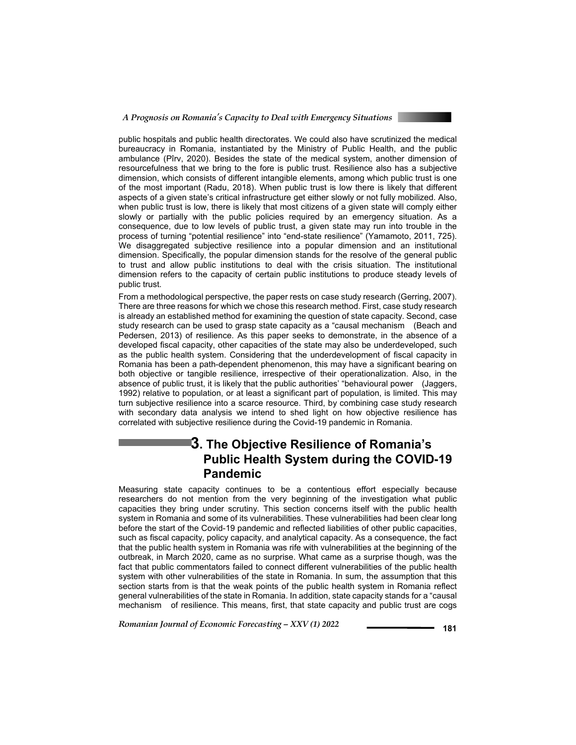

public hospitals and public health directorates. We could also have scrutinized the medical bureaucracy in Romania, instantiated by the Ministry of Public Health, and the public ambulance (Pîrv, 2020). Besides the state of the medical system, another dimension of resourcefulness that we bring to the fore is public trust. Resilience also has a subjective dimension, which consists of different intangible elements, among which public trust is one of the most important (Radu, 2018). When public trust is low there is likely that different aspects of a given state's critical infrastructure get either slowly or not fully mobilized. Also, when public trust is low, there is likely that most citizens of a given state will comply either slowly or partially with the public policies required by an emergency situation. As a consequence, due to low levels of public trust, a given state may run into trouble in the process of turning "potential resilience" into "end-state resilience" (Yamamoto, 2011, 725). We disaggregated subjective resilience into a popular dimension and an institutional dimension. Specifically, the popular dimension stands for the resolve of the general public to trust and allow public institutions to deal with the crisis situation. The institutional dimension refers to the capacity of certain public institutions to produce steady levels of public trust.

From a methodological perspective, the paper rests on case study research (Gerring, 2007). There are three reasons for which we chose this research method. First, case study research is already an established method for examining the question of state capacity. Second, case study research can be used to grasp state capacity as a "causal mechanism (Beach and Pedersen, 2013) of resilience. As this paper seeks to demonstrate, in the absence of a developed fiscal capacity, other capacities of the state may also be underdeveloped, such as the public health system. Considering that the underdevelopment of fiscal capacity in Romania has been a path-dependent phenomenon, this may have a significant bearing on both objective or tangible resilience, irrespective of their operationalization. Also, in the absence of public trust, it is likely that the public authorities' "behavioural power (Jaggers, 1992) relative to population, or at least a significant part of population, is limited. This may turn subjective resilience into a scarce resource. Third, by combining case study research with secondary data analysis we intend to shed light on how objective resilience has correlated with subjective resilience during the Covid-19 pandemic in Romania.

# **3. The Objective Resilience of Romania's Public Health System during the COVID-19 Pandemic**

Measuring state capacity continues to be a contentious effort especially because researchers do not mention from the very beginning of the investigation what public capacities they bring under scrutiny. This section concerns itself with the public health system in Romania and some of its vulnerabilities. These vulnerabilities had been clear long before the start of the Covid-19 pandemic and reflected liabilities of other public capacities, such as fiscal capacity, policy capacity, and analytical capacity. As a consequence, the fact that the public health system in Romania was rife with vulnerabilities at the beginning of the outbreak, in March 2020, came as no surprise. What came as a surprise though, was the fact that public commentators failed to connect different vulnerabilities of the public health system with other vulnerabilities of the state in Romania. In sum, the assumption that this section starts from is that the weak points of the public health system in Romania reflect general vulnerabilities of the state in Romania. In addition, state capacity stands for a "causal mechanism of resilience. This means, first, that state capacity and public trust are cogs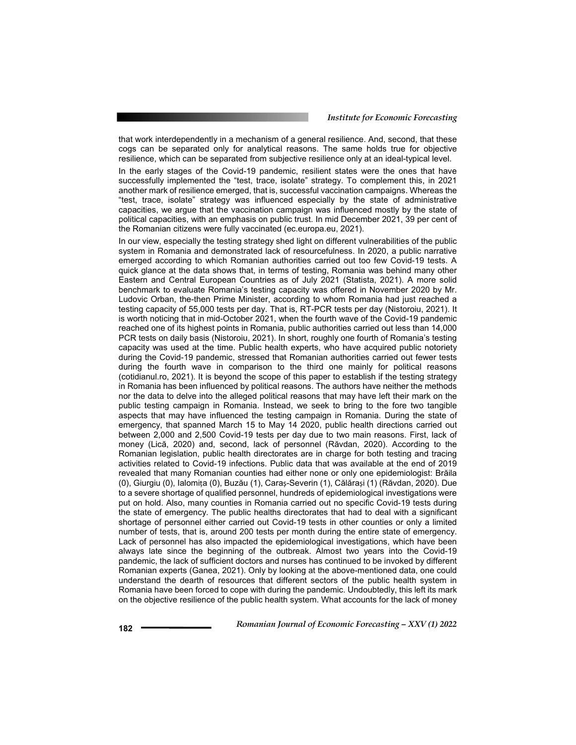that work interdependently in a mechanism of a general resilience. And, second, that these cogs can be separated only for analytical reasons. The same holds true for objective resilience, which can be separated from subjective resilience only at an ideal-typical level.

In the early stages of the Covid-19 pandemic, resilient states were the ones that have successfully implemented the "test, trace, isolate" strategy. To complement this, in 2021 another mark of resilience emerged, that is, successful vaccination campaigns. Whereas the "test, trace, isolate" strategy was influenced especially by the state of administrative capacities, we argue that the vaccination campaign was influenced mostly by the state of political capacities, with an emphasis on public trust. In mid December 2021, 39 per cent of the Romanian citizens were fully vaccinated (ec.europa.eu, 2021).

In our view, especially the testing strategy shed light on different vulnerabilities of the public system in Romania and demonstrated lack of resourcefulness. In 2020, a public narrative emerged according to which Romanian authorities carried out too few Covid-19 tests. A quick glance at the data shows that, in terms of testing, Romania was behind many other Eastern and Central European Countries as of July 2021 (Statista, 2021). A more solid benchmark to evaluate Romania's testing capacity was offered in November 2020 by Mr. Ludovic Orban, the-then Prime Minister, according to whom Romania had just reached a testing capacity of 55,000 tests per day. That is, RT-PCR tests per day (Nistoroiu, 2021). It is worth noticing that in mid-October 2021, when the fourth wave of the Covid-19 pandemic reached one of its highest points in Romania, public authorities carried out less than 14,000 PCR tests on daily basis (Nistoroiu, 2021). In short, roughly one fourth of Romania's testing capacity was used at the time. Public health experts, who have acquired public notoriety during the Covid-19 pandemic, stressed that Romanian authorities carried out fewer tests during the fourth wave in comparison to the third one mainly for political reasons (cotidianul.ro, 2021). It is beyond the scope of this paper to establish if the testing strategy in Romania has been influenced by political reasons. The authors have neither the methods nor the data to delve into the alleged political reasons that may have left their mark on the public testing campaign in Romania. Instead, we seek to bring to the fore two tangible aspects that may have influenced the testing campaign in Romania. During the state of emergency, that spanned March 15 to May 14 2020, public health directions carried out between 2,000 and 2,500 Covid-19 tests per day due to two main reasons. First, lack of money (Lică, 2020) and, second, lack of personnel (Răvdan, 2020). According to the Romanian legislation, public health directorates are in charge for both testing and tracing activities related to Covid-19 infections. Public data that was available at the end of 2019 revealed that many Romanian counties had either none or only one epidemiologist: Brăila (0), Giurgiu (0), Ialomița (0), Buzău (1), Caraș-Severin (1), Călărași (1) (Răvdan, 2020). Due to a severe shortage of qualified personnel, hundreds of epidemiological investigations were put on hold. Also, many counties in Romania carried out no specific Covid-19 tests during the state of emergency. The public healths directorates that had to deal with a significant shortage of personnel either carried out Covid-19 tests in other counties or only a limited number of tests, that is, around 200 tests per month during the entire state of emergency. Lack of personnel has also impacted the epidemiological investigations, which have been always late since the beginning of the outbreak. Almost two years into the Covid-19 pandemic, the lack of sufficient doctors and nurses has continued to be invoked by different Romanian experts (Ganea, 2021). Only by looking at the above-mentioned data, one could understand the dearth of resources that different sectors of the public health system in Romania have been forced to cope with during the pandemic. Undoubtedly, this left its mark on the objective resilience of the public health system. What accounts for the lack of money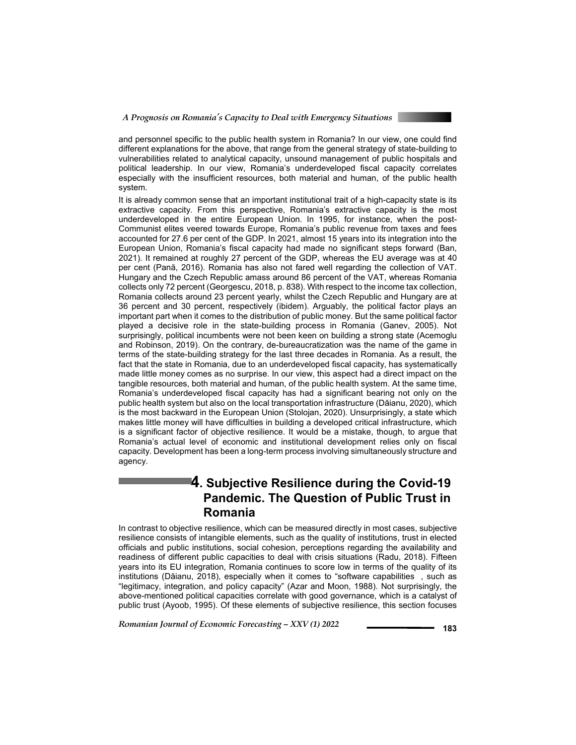

and personnel specific to the public health system in Romania? In our view, one could find different explanations for the above, that range from the general strategy of state-building to vulnerabilities related to analytical capacity, unsound management of public hospitals and political leadership. In our view, Romania's underdeveloped fiscal capacity correlates especially with the insufficient resources, both material and human, of the public health system.

It is already common sense that an important institutional trait of a high-capacity state is its extractive capacity. From this perspective, Romania's extractive capacity is the most underdeveloped in the entire European Union. In 1995, for instance, when the post-Communist elites veered towards Europe, Romania's public revenue from taxes and fees accounted for 27.6 per cent of the GDP. In 2021, almost 15 years into its integration into the European Union, Romania's fiscal capacity had made no significant steps forward (Ban, 2021). It remained at roughly 27 percent of the GDP, whereas the EU average was at 40 per cent (Pană, 2016). Romania has also not fared well regarding the collection of VAT. Hungary and the Czech Republic amass around 86 percent of the VAT, whereas Romania collects only 72 percent (Georgescu, 2018, p. 838). With respect to the income tax collection, Romania collects around 23 percent yearly, whilst the Czech Republic and Hungary are at 36 percent and 30 percent, respectively (ibidem). Arguably, the political factor plays an important part when it comes to the distribution of public money. But the same political factor played a decisive role in the state-building process in Romania (Ganev, 2005). Not surprisingly, political incumbents were not been keen on building a strong state (Acemoglu and Robinson, 2019). On the contrary, de-bureaucratization was the name of the game in terms of the state-building strategy for the last three decades in Romania. As a result, the fact that the state in Romania, due to an underdeveloped fiscal capacity, has systematically made little money comes as no surprise. In our view, this aspect had a direct impact on the tangible resources, both material and human, of the public health system. At the same time, Romania's underdeveloped fiscal capacity has had a significant bearing not only on the public health system but also on the local transportation infrastructure (Dăianu, 2020), which is the most backward in the European Union (Stolojan, 2020). Unsurprisingly, a state which makes little money will have difficulties in building a developed critical infrastructure, which is a significant factor of objective resilience. It would be a mistake, though, to argue that Romania's actual level of economic and institutional development relies only on fiscal capacity. Development has been a long-term process involving simultaneously structure and agency.

# **4. Subjective Resilience during the Covid-19 Pandemic. The Question of Public Trust in Romania**

In contrast to objective resilience, which can be measured directly in most cases, subjective resilience consists of intangible elements, such as the quality of institutions, trust in elected officials and public institutions, social cohesion, perceptions regarding the availability and readiness of different public capacities to deal with crisis situations (Radu, 2018). Fifteen years into its EU integration, Romania continues to score low in terms of the quality of its institutions (Dăianu, 2018), especially when it comes to "software capabilities , such as "legitimacy, integration, and policy capacity" (Azar and Moon, 1988). Not surprisingly, the above-mentioned political capacities correlate with good governance, which is a catalyst of public trust (Ayoob, 1995). Of these elements of subjective resilience, this section focuses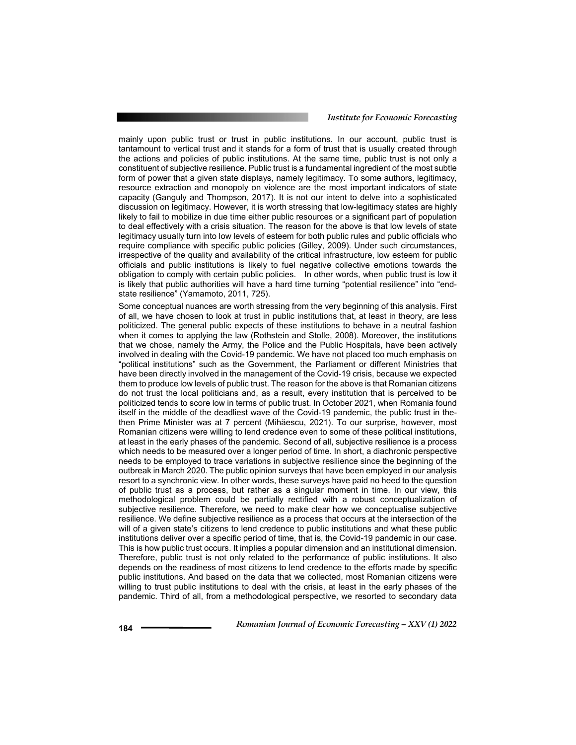mainly upon public trust or trust in public institutions. In our account, public trust is tantamount to vertical trust and it stands for a form of trust that is usually created through the actions and policies of public institutions. At the same time, public trust is not only a constituent of subjective resilience. Public trust is a fundamental ingredient of the most subtle form of power that a given state displays, namely legitimacy. To some authors, legitimacy, resource extraction and monopoly on violence are the most important indicators of state capacity (Ganguly and Thompson, 2017). It is not our intent to delve into a sophisticated discussion on legitimacy. However, it is worth stressing that low-legitimacy states are highly likely to fail to mobilize in due time either public resources or a significant part of population to deal effectively with a crisis situation. The reason for the above is that low levels of state legitimacy usually turn into low levels of esteem for both public rules and public officials who require compliance with specific public policies (Gilley, 2009). Under such circumstances, irrespective of the quality and availability of the critical infrastructure, low esteem for public officials and public institutions is likely to fuel negative collective emotions towards the obligation to comply with certain public policies. In other words, when public trust is low it is likely that public authorities will have a hard time turning "potential resilience" into "endstate resilience" (Yamamoto, 2011, 725).

Some conceptual nuances are worth stressing from the very beginning of this analysis. First of all, we have chosen to look at trust in public institutions that, at least in theory, are less politicized. The general public expects of these institutions to behave in a neutral fashion when it comes to applying the law (Rothstein and Stolle, 2008). Moreover, the institutions that we chose, namely the Army, the Police and the Public Hospitals, have been actively involved in dealing with the Covid-19 pandemic. We have not placed too much emphasis on "political institutions" such as the Government, the Parliament or different Ministries that have been directly involved in the management of the Covid-19 crisis, because we expected them to produce low levels of public trust. The reason for the above is that Romanian citizens do not trust the local politicians and, as a result, every institution that is perceived to be politicized tends to score low in terms of public trust. In October 2021, when Romania found itself in the middle of the deadliest wave of the Covid-19 pandemic, the public trust in thethen Prime Minister was at 7 percent (Mihăescu, 2021). To our surprise, however, most Romanian citizens were willing to lend credence even to some of these political institutions, at least in the early phases of the pandemic. Second of all, subjective resilience is a process which needs to be measured over a longer period of time. In short, a diachronic perspective needs to be employed to trace variations in subjective resilience since the beginning of the outbreak in March 2020. The public opinion surveys that have been employed in our analysis resort to a synchronic view. In other words, these surveys have paid no heed to the question of public trust as a process, but rather as a singular moment in time. In our view, this methodological problem could be partially rectified with a robust conceptualization of subjective resilience. Therefore, we need to make clear how we conceptualise subjective resilience. We define subjective resilience as a process that occurs at the intersection of the will of a given state's citizens to lend credence to public institutions and what these public institutions deliver over a specific period of time, that is, the Covid-19 pandemic in our case. This is how public trust occurs. It implies a popular dimension and an institutional dimension. Therefore, public trust is not only related to the performance of public institutions. It also depends on the readiness of most citizens to lend credence to the efforts made by specific public institutions. And based on the data that we collected, most Romanian citizens were willing to trust public institutions to deal with the crisis, at least in the early phases of the pandemic. Third of all, from a methodological perspective, we resorted to secondary data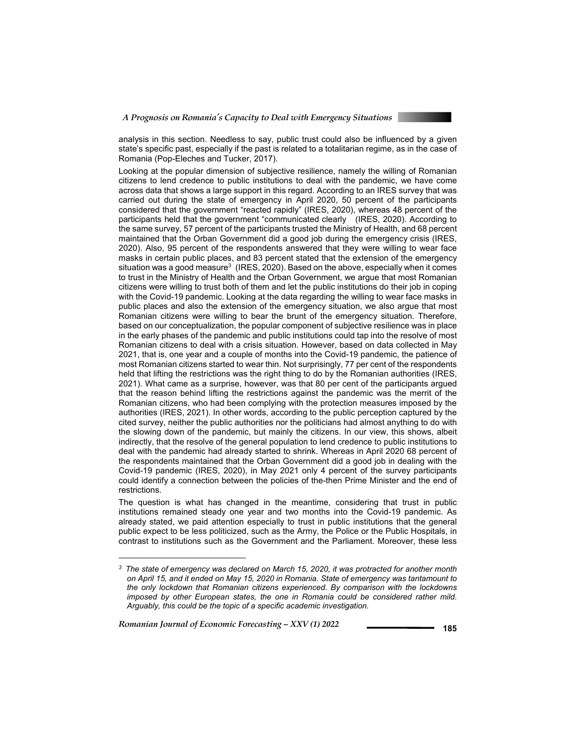

analysis in this section. Needless to say, public trust could also be influenced by a given state's specific past, especially if the past is related to a totalitarian regime, as in the case of Romania (Pop-Eleches and Tucker, 2017).

Looking at the popular dimension of subjective resilience, namely the willing of Romanian citizens to lend credence to public institutions to deal with the pandemic, we have come across data that shows a large support in this regard. According to an IRES survey that was carried out during the state of emergency in April 2020, 50 percent of the participants considered that the government "reacted rapidly" (IRES, 2020), whereas 48 percent of the participants held that the government "communicated clearly (IRES, 2020). According to the same survey, 57 percent of the participants trusted the Ministry of Health, and 68 percent maintained that the Orban Government did a good job during the emergency crisis (IRES, 2020). Also, 95 percent of the respondents answered that they were willing to wear face masks in certain public places, and 83 percent stated that the extension of the emergency situation was a good measure $^3$  (IRES, 2020). Based on the above, especially when it comes to trust in the Ministry of Health and the Orban Government, we argue that most Romanian citizens were willing to trust both of them and let the public institutions do their job in coping with the Covid-19 pandemic. Looking at the data regarding the willing to wear face masks in public places and also the extension of the emergency situation, we also argue that most Romanian citizens were willing to bear the brunt of the emergency situation. Therefore, based on our conceptualization, the popular component of subjective resilience was in place in the early phases of the pandemic and public institutions could tap into the resolve of most Romanian citizens to deal with a crisis situation. However, based on data collected in May 2021, that is, one year and a couple of months into the Covid-19 pandemic, the patience of most Romanian citizens started to wear thin. Not surprisingly, 77 per cent of the respondents held that lifting the restrictions was the right thing to do by the Romanian authorities (IRES, 2021). What came as a surprise, however, was that 80 per cent of the participants argued that the reason behind lifting the restrictions against the pandemic was the merrit of the Romanian citizens, who had been complying with the protection measures imposed by the authorities (IRES, 2021). In other words, according to the public perception captured by the cited survey, neither the public authorities nor the politicians had almost anything to do with the slowing down of the pandemic, but mainly the citizens. In our view, this shows, albeit indirectly, that the resolve of the general population to lend credence to public institutions to deal with the pandemic had already started to shrink. Whereas in April 2020 68 percent of the respondents maintained that the Orban Government did a good job in dealing with the Covid-19 pandemic (IRES, 2020), in May 2021 only 4 percent of the survey participants could identify a connection between the policies of the-then Prime Minister and the end of restrictions.

The question is what has changed in the meantime, considering that trust in public institutions remained steady one year and two months into the Covid-19 pandemic. As already stated, we paid attention especially to trust in public institutions that the general public expect to be less politicized, such as the Army, the Police or the Public Hospitals, in contrast to institutions such as the Government and the Parliament. Moreover, these less

*Romanian Journal of Economic Forecasting – XXV (1) 2022* **<sup>185</sup>**

l

*<sup>3</sup> The state of emergency was declared on March 15, 2020, it was protracted for another month on April 15, and it ended on May 15, 2020 in Romania. State of emergency was tantamount to the only lockdown that Romanian citizens experienced. By comparison with the lockdowns imposed by other European states, the one in Romania could be considered rather mild. Arguably, this could be the topic of a specific academic investigation.*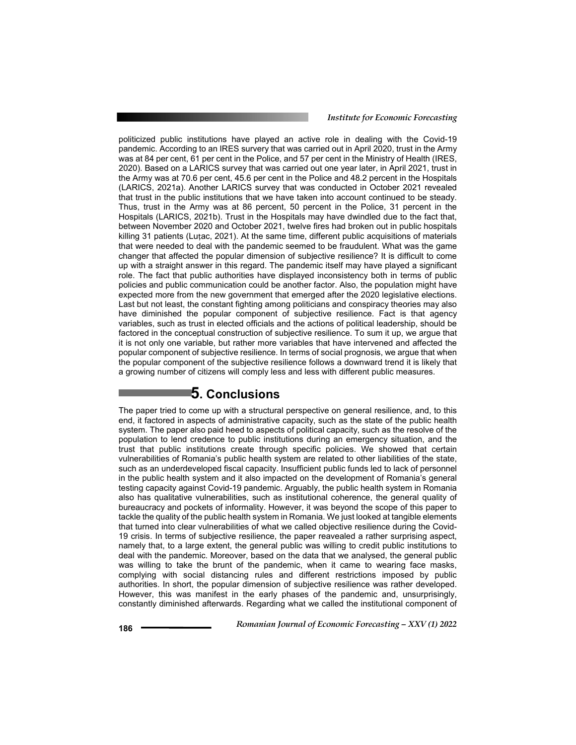politicized public institutions have played an active role in dealing with the Covid-19 pandemic. According to an IRES survery that was carried out in April 2020, trust in the Army was at 84 per cent, 61 per cent in the Police, and 57 per cent in the Ministry of Health (IRES, 2020). Based on a LARICS survey that was carried out one year later, in April 2021, trust in the Army was at 70.6 per cent, 45.6 per cent in the Police and 48.2 percent in the Hospitals (LARICS, 2021a). Another LARICS survey that was conducted in October 2021 revealed that trust in the public institutions that we have taken into account continued to be steady. Thus, trust in the Army was at 86 percent, 50 percent in the Police, 31 percent in the Hospitals (LARICS, 2021b). Trust in the Hospitals may have dwindled due to the fact that, between November 2020 and October 2021, twelve fires had broken out in public hospitals killing 31 patients (Luțac, 2021). At the same time, different public acquisitions of materials that were needed to deal with the pandemic seemed to be fraudulent. What was the game changer that affected the popular dimension of subjective resilience? It is difficult to come up with a straight answer in this regard. The pandemic itself may have played a significant role. The fact that public authorities have displayed inconsistency both in terms of public policies and public communication could be another factor. Also, the population might have expected more from the new government that emerged after the 2020 legislative elections. Last but not least, the constant fighting among politicians and conspiracy theories may also have diminished the popular component of subjective resilience. Fact is that agency variables, such as trust in elected officials and the actions of political leadership, should be factored in the conceptual construction of subjective resilience. To sum it up, we argue that it is not only one variable, but rather more variables that have intervened and affected the popular component of subjective resilience. In terms of social prognosis, we argue that when the popular component of the subjective resilience follows a downward trend it is likely that a growing number of citizens will comply less and less with different public measures.

## **5. Conclusions**

The paper tried to come up with a structural perspective on general resilience, and, to this end, it factored in aspects of administrative capacity, such as the state of the public health system. The paper also paid heed to aspects of political capacity, such as the resolve of the population to lend credence to public institutions during an emergency situation, and the trust that public institutions create through specific policies. We showed that certain vulnerabilities of Romania's public health system are related to other liabilities of the state, such as an underdeveloped fiscal capacity. Insufficient public funds led to lack of personnel in the public health system and it also impacted on the development of Romania's general testing capacity against Covid-19 pandemic. Arguably, the public health system in Romania also has qualitative vulnerabilities, such as institutional coherence, the general quality of bureaucracy and pockets of informality. However, it was beyond the scope of this paper to tackle the quality of the public health system in Romania. We just looked at tangible elements that turned into clear vulnerabilities of what we called objective resilience during the Covid-19 crisis. In terms of subjective resilience, the paper reavealed a rather surprising aspect, namely that, to a large extent, the general public was willing to credit public institutions to deal with the pandemic. Moreover, based on the data that we analysed, the general public was willing to take the brunt of the pandemic, when it came to wearing face masks, complying with social distancing rules and different restrictions imposed by public authorities. In short, the popular dimension of subjective resilience was rather developed. However, this was manifest in the early phases of the pandemic and, unsurprisingly, constantly diminished afterwards. Regarding what we called the institutional component of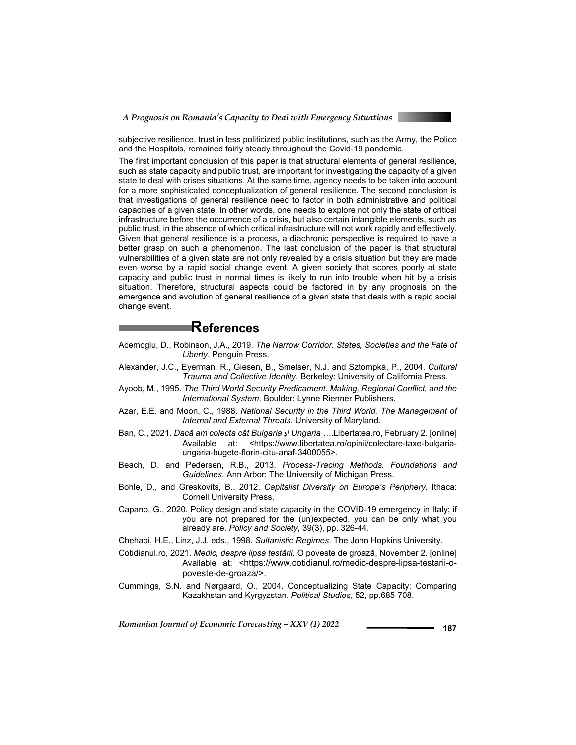

subjective resilience, trust in less politicized public institutions, such as the Army, the Police and the Hospitals, remained fairly steady throughout the Covid-19 pandemic.

The first important conclusion of this paper is that structural elements of general resilience, such as state capacity and public trust, are important for investigating the capacity of a given state to deal with crises situations. At the same time, agency needs to be taken into account for a more sophisticated conceptualization of general resilience. The second conclusion is that investigations of general resilience need to factor in both administrative and political capacities of a given state. In other words, one needs to explore not only the state of critical infrastructure before the occurrence of a crisis, but also certain intangible elements, such as public trust, in the absence of which critical infrastructure will not work rapidly and effectively. Given that general resilience is a process, a diachronic perspective is required to have a better grasp on such a phenomenon. The last conclusion of the paper is that structural vulnerabilities of a given state are not only revealed by a crisis situation but they are made even worse by a rapid social change event. A given society that scores poorly at state capacity and public trust in normal times is likely to run into trouble when hit by a crisis situation. Therefore, structural aspects could be factored in by any prognosis on the emergence and evolution of general resilience of a given state that deals with a rapid social change event.

### **References**

- Acemoglu, D., Robinson, J.A., 2019. *The Narrow Corridor. States, Societies and the Fate of Liberty*. Penguin Press.
- Alexander, J.C., Eyerman, R., Giesen, B., Smelser, N.J. and Sztompka, P., 2004. *Cultural Trauma and Collective Identity*. Berkeley: University of California Press.
- Ayoob, M., 1995. *The Third World Security Predicament. Making, Regional Conflict, and the International System.* Boulder: Lynne Rienner Publishers.
- Azar, E.E. and Moon, C., 1988. *National Security in the Third World. The Management of Internal and External Threats.* University of Maryland.
- Ban, C., 2021. *Dacă am colecta cât Bulgaria și Ungaria …*.Libertatea.ro, February 2. [online] Available at: <https://www.libertatea.ro/opinii/colectare-taxe-bulgariaungaria-bugete-florin-citu-anaf-3400055>.
- Beach, D. and Pedersen, R.B., 2013. *Process-Tracing Methods. Foundations and Guidelines*. Ann Arbor: The University of Michigan Press.
- Bohle, D., and Greskovits, B., 2012. *Capitalist Diversity on Europe's Periphery.* Ithaca: Cornell University Press.
- Capano, G., 2020. Policy design and state capacity in the COVID-19 emergency in Italy: if you are not prepared for the (un)expected, you can be only what you already are. *Policy and Society,* 39(3), pp. 326-44.
- Chehabi, H.E., Linz, J.J. eds., 1998. *Sultanistic Regimes*. The John Hopkins University.
- Cotidianul.ro, 2021. *Medic, despre lipsa testării.* O poveste de groază, November 2. [online] Available at: <https://www.cotidianul.ro/medic-despre-lipsa-testarii-opoveste-de-groaza/>.
- Cummings, S.N. and Nørgaard, O., 2004. Conceptualizing State Capacity: Comparing Kazakhstan and Kyrgyzstan. *Political Studies*, 52, pp.685-708.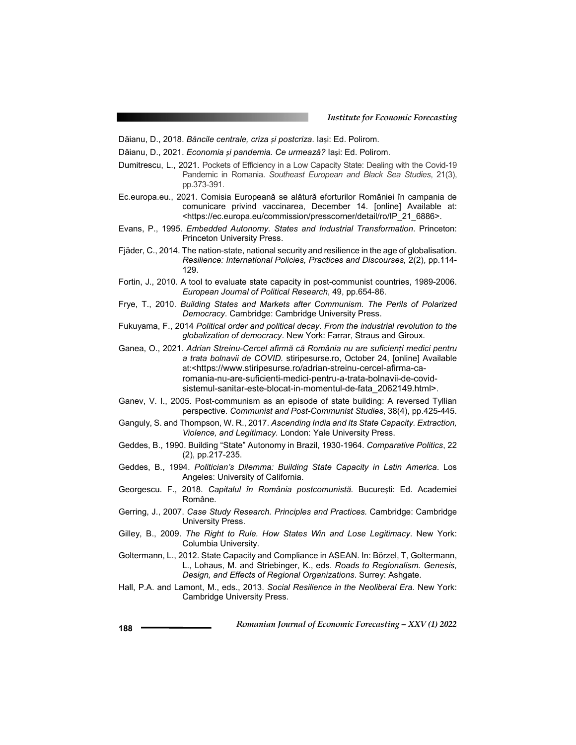Dăianu, D., 2018. *Băncile centrale, criza și postcriza*. Iași: Ed. Polirom.

- Dăianu, D., 2021. *Economia și pandemia. Ce urmează?* Iași: Ed. Polirom.
- Dumitrescu, L., 2021. Pockets of Efficiency in a Low Capacity State: Dealing with the Covid-19 Pandemic in Romania. *Southeast European and Black Sea Studies*, 21(3), pp.373-391.
- Ec.europa.eu., 2021. Comisia Europeană se alătură eforturilor României în campania de comunicare privind vaccinarea, December 14. [online] Available at: <https://ec.europa.eu/commission/presscorner/detail/ro/IP\_21\_6886>.
- Evans, P., 1995. *Embedded Autonomy. States and Industrial Transformation*. Princeton: Princeton University Press.
- Fjäder, C., 2014. The nation-state, national security and resilience in the age of globalisation. *Resilience: International Policies, Practices and Discourses,* 2(2), pp.114- 129.
- Fortin, J., 2010. A tool to evaluate state capacity in post-communist countries, 1989-2006. *European Journal of Political Research*, 49, pp.654-86.
- Frye, T., 2010. *Building States and Markets after Communism. The Perils of Polarized Democracy*. Cambridge: Cambridge University Press.
- Fukuyama, F., 2014 *Political order and political decay. From the industrial revolution to the globalization of democracy*. New York: Farrar, Straus and Giroux.
- Ganea, O., 2021. *Adrian Streinu-Cercel afirmă că România nu are suficienți medici pentru a trata bolnavii de COVID.* stiripesurse.ro, October 24, [online] Available at:<https://www.stiripesurse.ro/adrian-streinu-cercel-afirma-caromania-nu-are-suficienti-medici-pentru-a-trata-bolnavii-de-covidsistemul-sanitar-este-blocat-in-momentul-de-fata\_2062149.html>.
- Ganev, V. I., 2005. Post-communism as an episode of state building: A reversed Tyllian perspective. *Communist and Post-Communist Studies*, 38(4), pp.425-445.
- Ganguly, S. and Thompson, W. R., 2017. *Ascending India and Its State Capacity. Extraction, Violence, and Legitimacy.* London: Yale University Press.
- Geddes, B., 1990. Building "State" Autonomy in Brazil, 1930-1964. *Comparative Politics*, 22 (2), pp.217-235.
- Geddes, B., 1994. *Politician's Dilemma: Building State Capacity in Latin America*. Los Angeles: University of California.
- Georgescu. F., 2018. *Capitalul în România postcomunistă.* București: Ed. Academiei Române.
- Gerring, J., 2007. *Case Study Research. Principles and Practices.* Cambridge: Cambridge University Press.
- Gilley, B., 2009. *The Right to Rule. How States Win and Lose Legitimacy*. New York: Columbia University.
- Goltermann, L., 2012. State Capacity and Compliance in ASEAN. In: Börzel, T, Goltermann, L., Lohaus, M. and Striebinger, K., eds. *Roads to Regionalism. Genesis, Design, and Effects of Regional Organizations*. Surrey: Ashgate.
- Hall, P.A. and Lamont, M., eds., 2013. *Social Resilience in the Neoliberal Era*. New York: Cambridge University Press.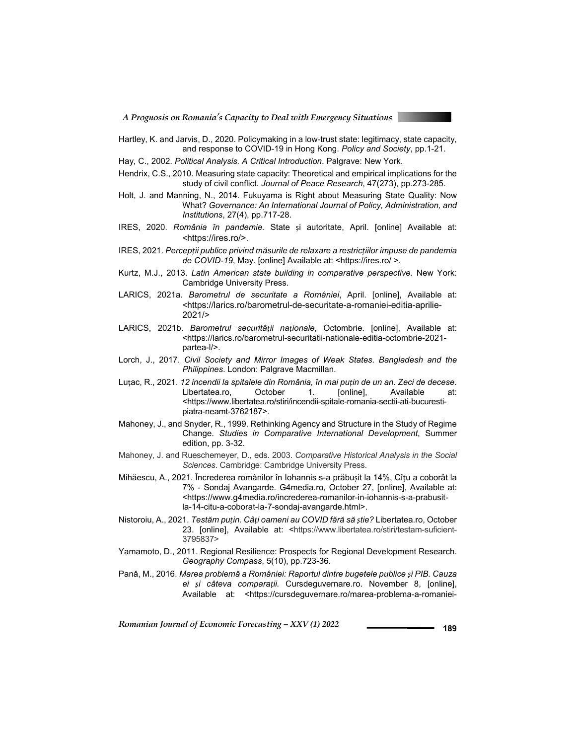

- Hartley, K. and Jarvis, D., 2020. Policymaking in a low-trust state: legitimacy, state capacity, and response to COVID-19 in Hong Kong. *Policy and Society*, pp.1-21.
- Hay, C., 2002. *Political Analysis. A Critical Introduction*. Palgrave: New York.
- Hendrix, C.S., 2010. Measuring state capacity: Theoretical and empirical implications for the study of civil conflict. *Journal of Peace Research*, 47(273), pp.273-285.
- Holt, J. and Manning, N., 2014. Fukuyama is Right about Measuring State Quality: Now What? *Governance: An International Journal of Policy, Administration, and Institutions*, 27(4), pp.717-28.
- IRES, 2020. *România în pandemie.* State și autoritate, April. [online] Available at: <https://ires.ro/>.
- IRES, 2021. *Percepții publice privind măsurile de relaxare a restricțiilor impuse de pandemia de COVID-19*, May. [online] Available at: <https://ires.ro/ >.
- Kurtz, M.J., 2013. *Latin American state building in comparative perspective.* New York: Cambridge University Press.
- LARICS, 2021a. *Barometrul de securitate a României*, April. [online], Available at: <https://larics.ro/barometrul-de-securitate-a-romaniei-editia-aprilie-2021/>
- LARICS, 2021b. *Barometrul securității naționale*, Octombrie. [online], Available at: <https://larics.ro/barometrul-securitatii-nationale-editia-octombrie-2021 partea-l/>.
- Lorch, J., 2017. *Civil Society and Mirror Images of Weak States. Bangladesh and the Philippines*. London: Palgrave Macmillan.
- Luțac, R., 2021. *12 incendii la spitalele din România, în mai puțin de un an. Zeci de decese.* Libertatea.ro, October 1. [online], Available at: <https://www.libertatea.ro/stiri/incendii-spitale-romania-sectii-ati-bucurestipiatra-neamt-3762187>.
- Mahoney, J., and Snyder, R., 1999. Rethinking Agency and Structure in the Study of Regime Change. *Studies in Comparative International Development*, Summer edition, pp. 3-32.
- Mahoney, J. and Rueschemeyer, D., eds. 2003. *Comparative Historical Analysis in the Social Sciences*. Cambridge: Cambridge University Press.
- Mihăescu, A., 2021. Încrederea românilor în Iohannis s-a prăbușit la 14%, Cîțu a coborât la 7% - Sondaj Avangarde. G4media.ro, October 27, [online], Available at: <https://www.g4media.ro/increderea-romanilor-in-iohannis-s-a-prabusitla-14-citu-a-coborat-la-7-sondaj-avangarde.html>.
- Nistoroiu, A., 2021. *Testăm puțin. Câți oameni au COVID fără să știe?* Libertatea.ro, October 23. [online], Available at: <https://www.libertatea.ro/stiri/testam-suficient-3795837>
- Yamamoto, D., 2011. Regional Resilience: Prospects for Regional Development Research. *Geography Compass*, 5(10), pp.723-36.
- Pană, M., 2016. *Marea problemă a României: Raportul dintre bugetele publice și PIB. Cauza ei și câteva comparații.* Cursdeguvernare.ro. November 8, [online], Available at: <https://cursdeguvernare.ro/marea-problema-a-romaniei-